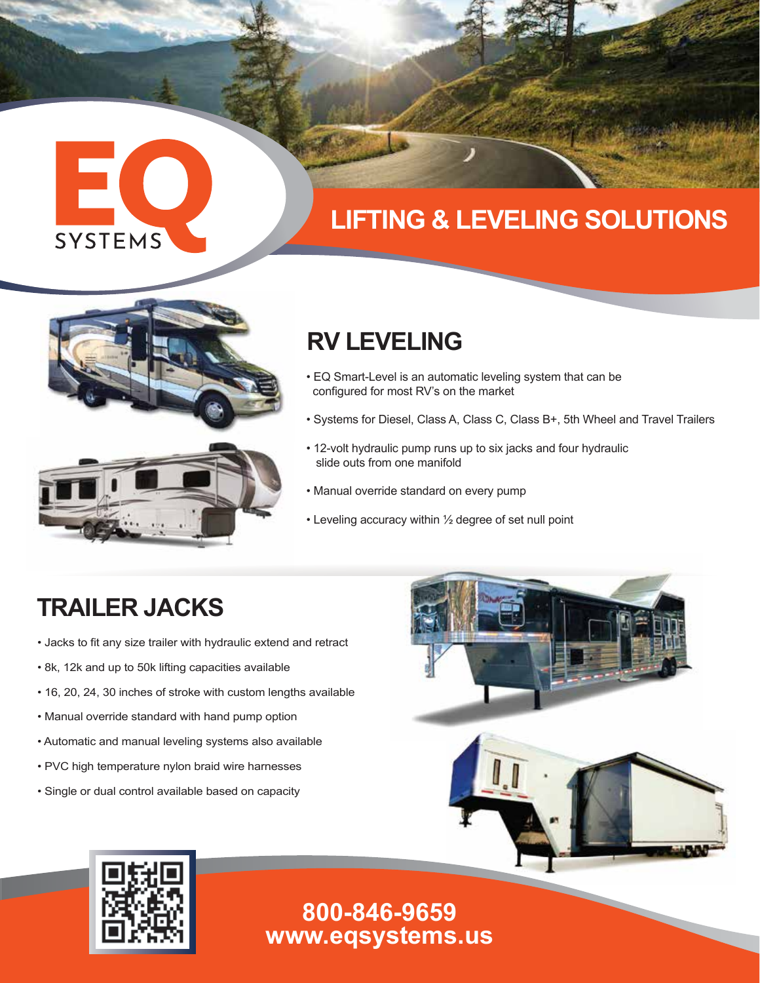# EO SYSTEMS

## **LIFTING & LEVELING SOLUTIONS**



### **RV LEVELING**

- EQ Smart-Level is an automatic leveling system that can be configured for most RV's on the market
- Systems for Diesel, Class A, Class C, Class B+, 5th Wheel and Travel Trailers
- 12-volt hydraulic pump runs up to six jacks and four hydraulic slide outs from one manifold
- Manual override standard on every pump
- Leveling accuracy within ½ degree of set null point

## **TRAILER JACKS**

- Jacks to fit any size trailer with hydraulic extend and retract
- 8k, 12k and up to 50k lifting capacities available
- 16, 20, 24, 30 inches of stroke with custom lengths available
- Manual override standard with hand pump option
- Automatic and manual leveling systems also available
- PVC high temperature nylon braid wire harnesses
- Single or dual control available based on capacity





#### **www.eqsystems.us 800-846-9659**